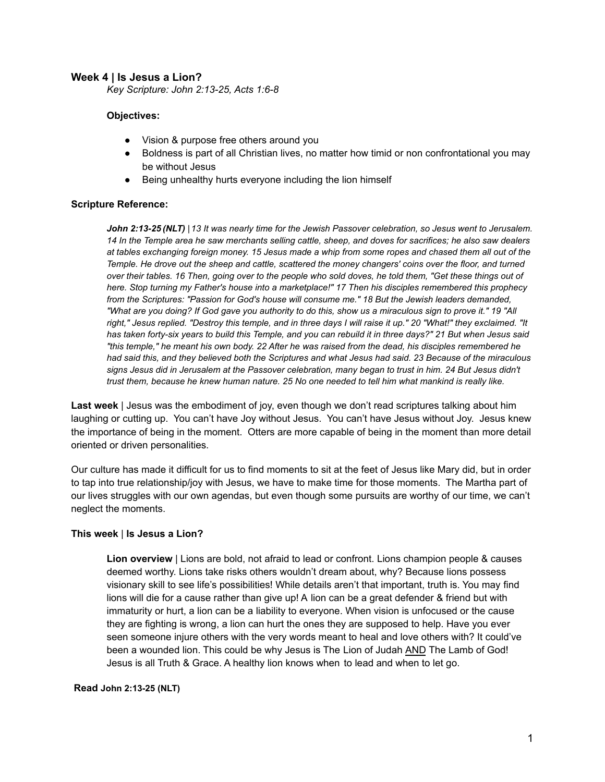#### **Week 4 | Is Jesus a Lion?**

*Key Scripture: John 2:13-25, Acts 1:6-8*

#### **Objectives:**

- Vision & purpose free others around you
- Boldness is part of all Christian lives, no matter how timid or non confrontational you may be without Jesus
- Being unhealthy hurts everyone including the lion himself

#### **Scripture Reference:**

*John 2:13-25 (NLT) |13 It was nearly time for the Jewish Passover celebration, so Jesus went to Jerusalem. 14 In the Temple area he saw merchants selling cattle, sheep, and doves for sacrifices; he also saw dealers at tables exchanging foreign money. 15 Jesus made a whip from some ropes and chased them all out of the Temple. He drove out the sheep and cattle, scattered the money changers' coins over the floor, and turned over their tables. 16 Then, going over to the people who sold doves, he told them, "Get these things out of here. Stop turning my Father's house into a marketplace!" 17 Then his disciples remembered this prophecy from the Scriptures: "Passion for God's house will consume me." 18 But the Jewish leaders demanded, "What are you doing? If God gave you authority to do this, show us a miraculous sign to prove it." 19 "All right," Jesus replied. "Destroy this temple, and in three days I will raise it up." 20 "What!" they exclaimed. "It has taken forty-six years to build this Temple, and you can rebuild it in three days?" 21 But when Jesus said "this temple," he meant his own body. 22 After he was raised from the dead, his disciples remembered he had said this, and they believed both the Scriptures and what Jesus had said. 23 Because of the miraculous signs Jesus did in Jerusalem at the Passover celebration, many began to trust in him. 24 But Jesus didn't trust them, because he knew human nature. 25 No one needed to tell him what mankind is really like.*

**Last week** | Jesus was the embodiment of joy, even though we don't read scriptures talking about him laughing or cutting up. You can't have Joy without Jesus. You can't have Jesus without Joy. Jesus knew the importance of being in the moment. Otters are more capable of being in the moment than more detail oriented or driven personalities.

Our culture has made it difficult for us to find moments to sit at the feet of Jesus like Mary did, but in order to tap into true relationship/joy with Jesus, we have to make time for those moments. The Martha part of our lives struggles with our own agendas, but even though some pursuits are worthy of our time, we can't neglect the moments.

#### **This week** | **Is Jesus a Lion?**

**Lion overview** | Lions are bold, not afraid to lead or confront. Lions champion people & causes deemed worthy. Lions take risks others wouldn't dream about, why? Because lions possess visionary skill to see life's possibilities! While details aren't that important, truth is. You may find lions will die for a cause rather than give up! A lion can be a great defender & friend but with immaturity or hurt, a lion can be a liability to everyone. When vision is unfocused or the cause they are fighting is wrong, a lion can hurt the ones they are supposed to help. Have you ever seen someone injure others with the very words meant to heal and love others with? It could've been a wounded lion. This could be why Jesus is The Lion of Judah AND The Lamb of God! Jesus is all Truth & Grace. A healthy lion knows when to lead and when to let go.

#### **Read John 2:13-25 (NLT)**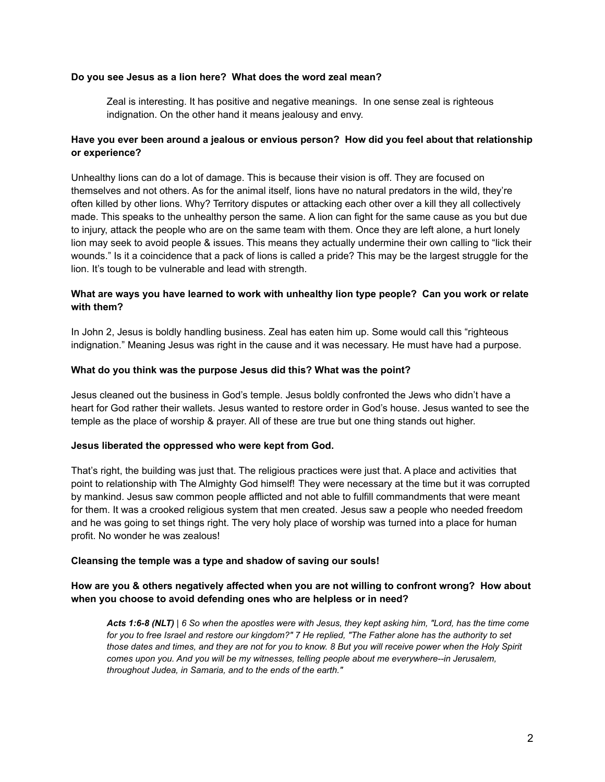#### **Do you see Jesus as a lion here? What does the word zeal mean?**

Zeal is interesting. It has positive and negative meanings. In one sense zeal is righteous indignation. On the other hand it means jealousy and envy.

# **Have you ever been around a jealous or envious person? How did you feel about that relationship or experience?**

Unhealthy lions can do a lot of damage. This is because their vision is off. They are focused on themselves and not others. As for the animal itself, lions have no natural predators in the wild, they're often killed by other lions. Why? Territory disputes or attacking each other over a kill they all collectively made. This speaks to the unhealthy person the same. A lion can fight for the same cause as you but due to injury, attack the people who are on the same team with them. Once they are left alone, a hurt lonely lion may seek to avoid people & issues. This means they actually undermine their own calling to "lick their wounds." Is it a coincidence that a pack of lions is called a pride? This may be the largest struggle for the lion. It's tough to be vulnerable and lead with strength.

## **What are ways you have learned to work with unhealthy lion type people? Can you work or relate with them?**

In John 2, Jesus is boldly handling business. Zeal has eaten him up. Some would call this "righteous indignation." Meaning Jesus was right in the cause and it was necessary. He must have had a purpose.

#### **What do you think was the purpose Jesus did this? What was the point?**

Jesus cleaned out the business in God's temple. Jesus boldly confronted the Jews who didn't have a heart for God rather their wallets. Jesus wanted to restore order in God's house. Jesus wanted to see the temple as the place of worship & prayer. All of these are true but one thing stands out higher.

#### **Jesus liberated the oppressed who were kept from God.**

That's right, the building was just that. The religious practices were just that. A place and activities that point to relationship with The Almighty God himself! They were necessary at the time but it was corrupted by mankind. Jesus saw common people afflicted and not able to fulfill commandments that were meant for them. It was a crooked religious system that men created. Jesus saw a people who needed freedom and he was going to set things right. The very holy place of worship was turned into a place for human profit. No wonder he was zealous!

#### **Cleansing the temple was a type and shadow of saving our souls!**

## **How are you & others negatively affected when you are not willing to confront wrong? How about when you choose to avoid defending ones who are helpless or in need?**

*Acts 1:6-8 (NLT) | 6 So when the apostles were with Jesus, they kept asking him, "Lord, has the time come for you to free Israel and restore our kingdom?" 7 He replied, "The Father alone has the authority to set those dates and times, and they are not for you to know. 8 But you will receive power when the Holy Spirit comes upon you. And you will be my witnesses, telling people about me everywhere--in Jerusalem, throughout Judea, in Samaria, and to the ends of the earth."*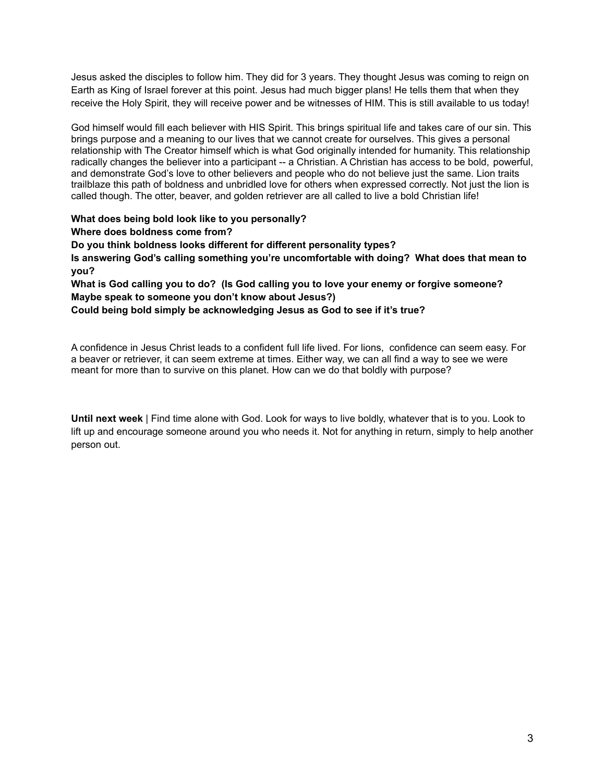Jesus asked the disciples to follow him. They did for 3 years. They thought Jesus was coming to reign on Earth as King of Israel forever at this point. Jesus had much bigger plans! He tells them that when they receive the Holy Spirit, they will receive power and be witnesses of HIM. This is still available to us today!

God himself would fill each believer with HIS Spirit. This brings spiritual life and takes care of our sin. This brings purpose and a meaning to our lives that we cannot create for ourselves. This gives a personal relationship with The Creator himself which is what God originally intended for humanity. This relationship radically changes the believer into a participant -- a Christian. A Christian has access to be bold, powerful, and demonstrate God's love to other believers and people who do not believe just the same. Lion traits trailblaze this path of boldness and unbridled love for others when expressed correctly. Not just the lion is called though. The otter, beaver, and golden retriever are all called to live a bold Christian life!

**What does being bold look like to you personally?**

**Where does boldness come from?**

**Do you think boldness looks different for different personality types? Is answering God's calling something you're uncomfortable with doing? What does that mean to you?**

**What is God calling you to do? (Is God calling you to love your enemy or forgive someone? Maybe speak to someone you don't know about Jesus?)**

**Could being bold simply be acknowledging Jesus as God to see if it's true?**

A confidence in Jesus Christ leads to a confident full life lived. For lions, confidence can seem easy. For a beaver or retriever, it can seem extreme at times. Either way, we can all find a way to see we were meant for more than to survive on this planet. How can we do that boldly with purpose?

**Until next week** | Find time alone with God. Look for ways to live boldly, whatever that is to you. Look to lift up and encourage someone around you who needs it. Not for anything in return, simply to help another person out.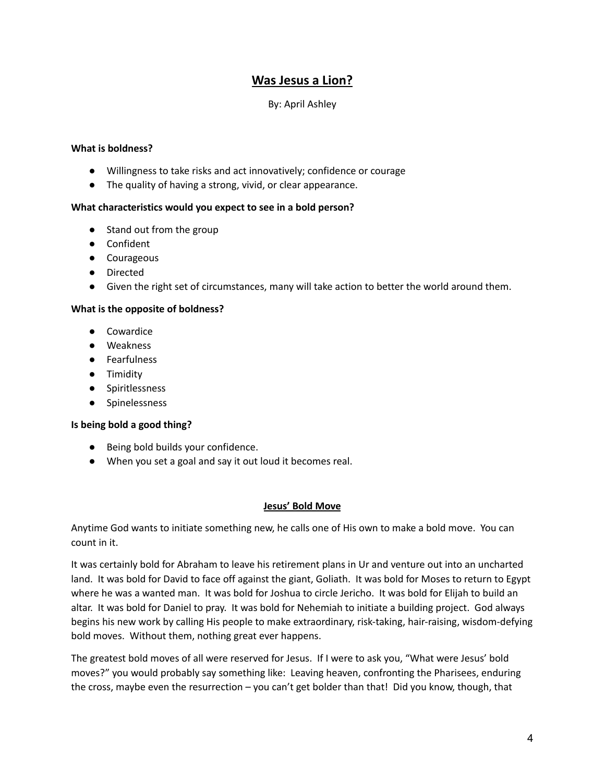# **Was Jesus a Lion?**

# By: April Ashley

## **What is boldness?**

- Willingness to take risks and act innovatively; confidence or courage
- The quality of having a strong, vivid, or clear appearance.

## **What characteristics would you expect to see in a bold person?**

- Stand out from the group
- Confident
- Courageous
- Directed
- Given the right set of circumstances, many will take action to better the world around them.

## **What is the opposite of boldness?**

- Cowardice
- Weakness
- Fearfulness
- Timidity
- Spiritlessness
- Spinelessness

## **Is being bold a good thing?**

- Being bold builds your confidence.
- When you set a goal and say it out loud it becomes real.

## **Jesus' Bold Move**

Anytime God wants to initiate something new, he calls one of His own to make a bold move. You can count in it.

It was certainly bold for Abraham to leave his retirement plans in Ur and venture out into an uncharted land. It was bold for David to face off against the giant, Goliath. It was bold for Moses to return to Egypt where he was a wanted man. It was bold for Joshua to circle Jericho. It was bold for Elijah to build an altar. It was bold for Daniel to pray. It was bold for Nehemiah to initiate a building project. God always begins his new work by calling His people to make extraordinary, risk-taking, hair-raising, wisdom-defying bold moves. Without them, nothing great ever happens.

The greatest bold moves of all were reserved for Jesus. If I were to ask you, "What were Jesus' bold moves?" you would probably say something like: Leaving heaven, confronting the Pharisees, enduring the cross, maybe even the resurrection – you can't get bolder than that! Did you know, though, that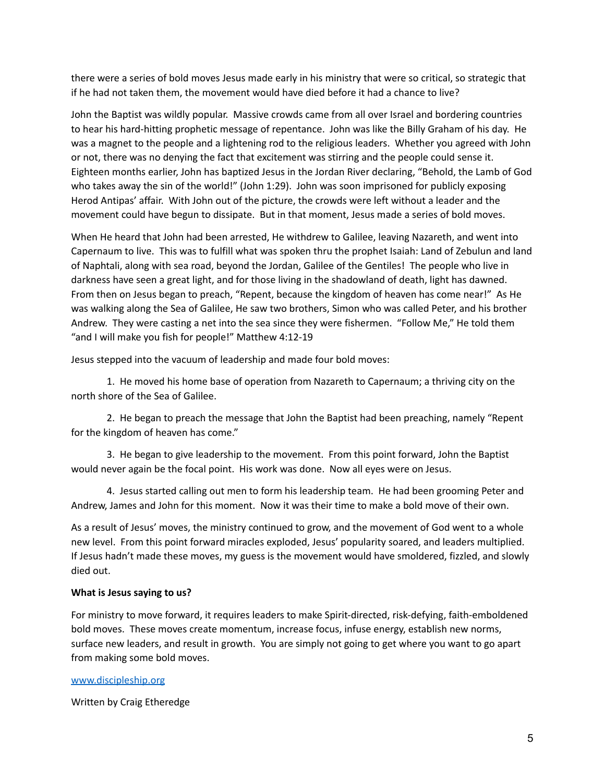there were a series of bold moves Jesus made early in his ministry that were so critical, so strategic that if he had not taken them, the movement would have died before it had a chance to live?

John the Baptist was wildly popular. Massive crowds came from all over Israel and bordering countries to hear his hard-hitting prophetic message of repentance. John was like the Billy Graham of his day. He was a magnet to the people and a lightening rod to the religious leaders. Whether you agreed with John or not, there was no denying the fact that excitement was stirring and the people could sense it. Eighteen months earlier, John has baptized Jesus in the Jordan River declaring, "Behold, the Lamb of God who takes away the sin of the world!" (John 1:29). John was soon imprisoned for publicly exposing Herod Antipas' affair. With John out of the picture, the crowds were left without a leader and the movement could have begun to dissipate. But in that moment, Jesus made a series of bold moves.

When He heard that John had been arrested, He withdrew to Galilee, leaving Nazareth, and went into Capernaum to live. This was to fulfill what was spoken thru the prophet Isaiah: Land of Zebulun and land of Naphtali, along with sea road, beyond the Jordan, Galilee of the Gentiles! The people who live in darkness have seen a great light, and for those living in the shadowland of death, light has dawned. From then on Jesus began to preach, "Repent, because the kingdom of heaven has come near!" As He was walking along the Sea of Galilee, He saw two brothers, Simon who was called Peter, and his brother Andrew. They were casting a net into the sea since they were fishermen. "Follow Me," He told them "and I will make you fish for people!" Matthew 4:12-19

Jesus stepped into the vacuum of leadership and made four bold moves:

1. He moved his home base of operation from Nazareth to Capernaum; a thriving city on the north shore of the Sea of Galilee.

2. He began to preach the message that John the Baptist had been preaching, namely "Repent for the kingdom of heaven has come."

3. He began to give leadership to the movement. From this point forward, John the Baptist would never again be the focal point. His work was done. Now all eyes were on Jesus.

4. Jesus started calling out men to form his leadership team. He had been grooming Peter and Andrew, James and John for this moment. Now it was their time to make a bold move of their own.

As a result of Jesus' moves, the ministry continued to grow, and the movement of God went to a whole new level. From this point forward miracles exploded, Jesus' popularity soared, and leaders multiplied. If Jesus hadn't made these moves, my guess is the movement would have smoldered, fizzled, and slowly died out.

#### **What is Jesus saying to us?**

For ministry to move forward, it requires leaders to make Spirit-directed, risk-defying, faith-emboldened bold moves. These moves create momentum, increase focus, infuse energy, establish new norms, surface new leaders, and result in growth. You are simply not going to get where you want to go apart from making some bold moves.

#### [www.discipleship.org](http://www.discipleship.org)

Written by Craig Etheredge